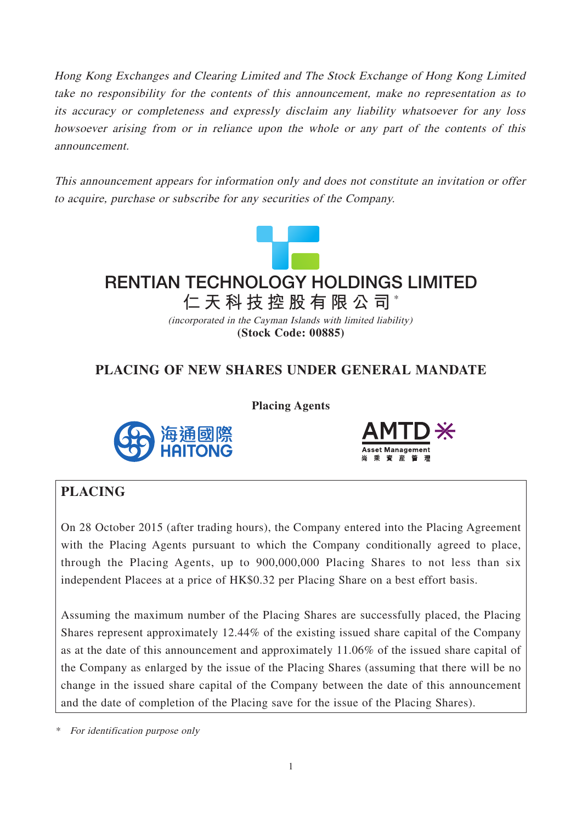Hong Kong Exchanges and Clearing Limited and The Stock Exchange of Hong Kong Limited take no responsibility for the contents of this announcement, make no representation as to its accuracy or completeness and expressly disclaim any liability whatsoever for any loss howsoever arising from or in reliance upon the whole or any part of the contents of this announcement.

This announcement appears for information only and does not constitute an invitation or offer to acquire, purchase or subscribe for any securities of the Company.



# **仁天科技控股有限公司** \* **RENTIAN TECHNOLOGY HOLDINGS LIMITED**

(incorporated in the Cayman Islands with limited liability) **(Stock Code: 00885)**

# **PLACING OF NEW SHARES UNDER GENERAL MANDATE**

**Placing Agents**





# **PLACING**

On 28 October 2015 (after trading hours), the Company entered into the Placing Agreement with the Placing Agents pursuant to which the Company conditionally agreed to place, through the Placing Agents, up to 900,000,000 Placing Shares to not less than six independent Placees at a price of HK\$0.32 per Placing Share on a best effort basis.

Assuming the maximum number of the Placing Shares are successfully placed, the Placing Shares represent approximately 12.44% of the existing issued share capital of the Company as at the date of this announcement and approximately 11.06% of the issued share capital of the Company as enlarged by the issue of the Placing Shares (assuming that there will be no change in the issued share capital of the Company between the date of this announcement and the date of completion of the Placing save for the issue of the Placing Shares).

\* For identification purpose only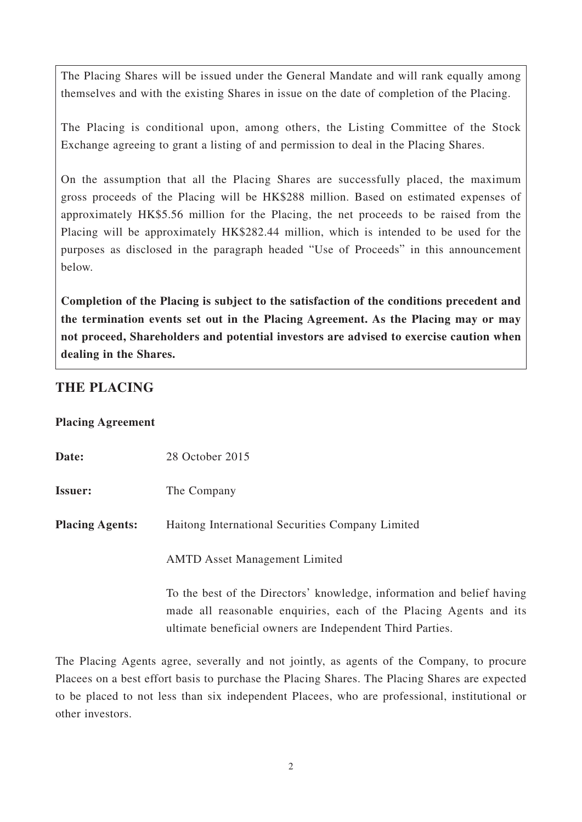The Placing Shares will be issued under the General Mandate and will rank equally among themselves and with the existing Shares in issue on the date of completion of the Placing.

The Placing is conditional upon, among others, the Listing Committee of the Stock Exchange agreeing to grant a listing of and permission to deal in the Placing Shares.

On the assumption that all the Placing Shares are successfully placed, the maximum gross proceeds of the Placing will be HK\$288 million. Based on estimated expenses of approximately HK\$5.56 million for the Placing, the net proceeds to be raised from the Placing will be approximately HK\$282.44 million, which is intended to be used for the purposes as disclosed in the paragraph headed "Use of Proceeds" in this announcement below.

**Completion of the Placing is subject to the satisfaction of the conditions precedent and the termination events set out in the Placing Agreement. As the Placing may or may not proceed, Shareholders and potential investors are advised to exercise caution when dealing in the Shares.**

## **THE PLACING**

#### **Placing Agreement**

| Date:                  | 28 October 2015                                                        |
|------------------------|------------------------------------------------------------------------|
| <b>Issuer:</b>         | The Company                                                            |
| <b>Placing Agents:</b> | Haitong International Securities Company Limited                       |
|                        | <b>AMTD</b> Asset Management Limited                                   |
|                        | To the best of the Directors' knowledge, information and belief having |
|                        | made all reasonable enquiries, each of the Placing Agents and its      |
|                        | ultimate beneficial owners are Independent Third Parties.              |

The Placing Agents agree, severally and not jointly, as agents of the Company, to procure Placees on a best effort basis to purchase the Placing Shares. The Placing Shares are expected to be placed to not less than six independent Placees, who are professional, institutional or other investors.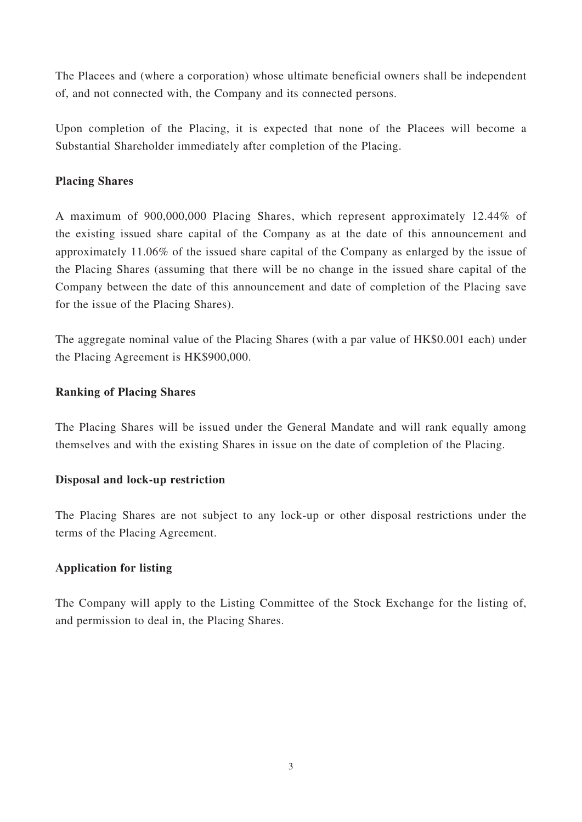The Placees and (where a corporation) whose ultimate beneficial owners shall be independent of, and not connected with, the Company and its connected persons.

Upon completion of the Placing, it is expected that none of the Placees will become a Substantial Shareholder immediately after completion of the Placing.

#### **Placing Shares**

A maximum of 900,000,000 Placing Shares, which represent approximately 12.44% of the existing issued share capital of the Company as at the date of this announcement and approximately 11.06% of the issued share capital of the Company as enlarged by the issue of the Placing Shares (assuming that there will be no change in the issued share capital of the Company between the date of this announcement and date of completion of the Placing save for the issue of the Placing Shares).

The aggregate nominal value of the Placing Shares (with a par value of HK\$0.001 each) under the Placing Agreement is HK\$900,000.

#### **Ranking of Placing Shares**

The Placing Shares will be issued under the General Mandate and will rank equally among themselves and with the existing Shares in issue on the date of completion of the Placing.

#### **Disposal and lock-up restriction**

The Placing Shares are not subject to any lock-up or other disposal restrictions under the terms of the Placing Agreement.

#### **Application for listing**

The Company will apply to the Listing Committee of the Stock Exchange for the listing of, and permission to deal in, the Placing Shares.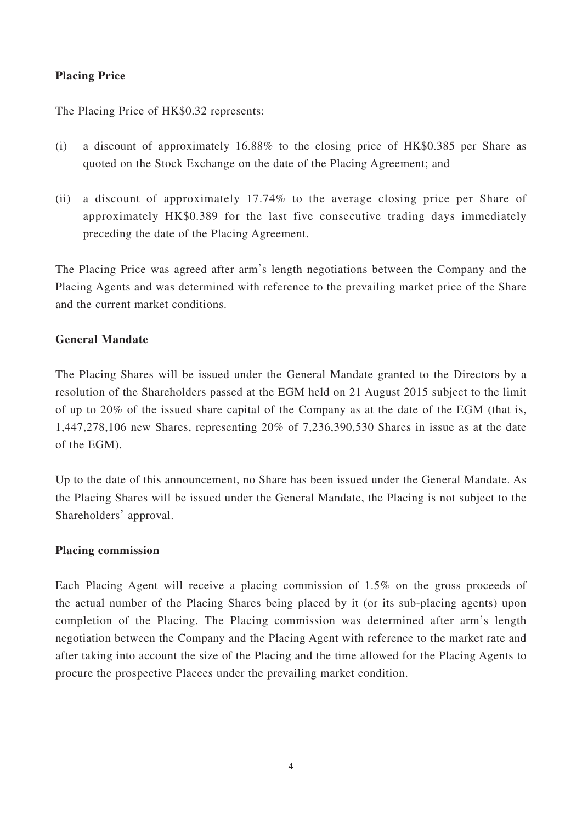### **Placing Price**

The Placing Price of HK\$0.32 represents:

- (i) a discount of approximately 16.88% to the closing price of HK\$0.385 per Share as quoted on the Stock Exchange on the date of the Placing Agreement; and
- (ii) a discount of approximately 17.74% to the average closing price per Share of approximately HK\$0.389 for the last five consecutive trading days immediately preceding the date of the Placing Agreement.

The Placing Price was agreed after arm's length negotiations between the Company and the Placing Agents and was determined with reference to the prevailing market price of the Share and the current market conditions.

#### **General Mandate**

The Placing Shares will be issued under the General Mandate granted to the Directors by a resolution of the Shareholders passed at the EGM held on 21 August 2015 subject to the limit of up to 20% of the issued share capital of the Company as at the date of the EGM (that is, 1,447,278,106 new Shares, representing 20% of 7,236,390,530 Shares in issue as at the date of the EGM).

Up to the date of this announcement, no Share has been issued under the General Mandate. As the Placing Shares will be issued under the General Mandate, the Placing is not subject to the Shareholders' approval.

#### **Placing commission**

Each Placing Agent will receive a placing commission of 1.5% on the gross proceeds of the actual number of the Placing Shares being placed by it (or its sub-placing agents) upon completion of the Placing. The Placing commission was determined after arm's length negotiation between the Company and the Placing Agent with reference to the market rate and after taking into account the size of the Placing and the time allowed for the Placing Agents to procure the prospective Placees under the prevailing market condition.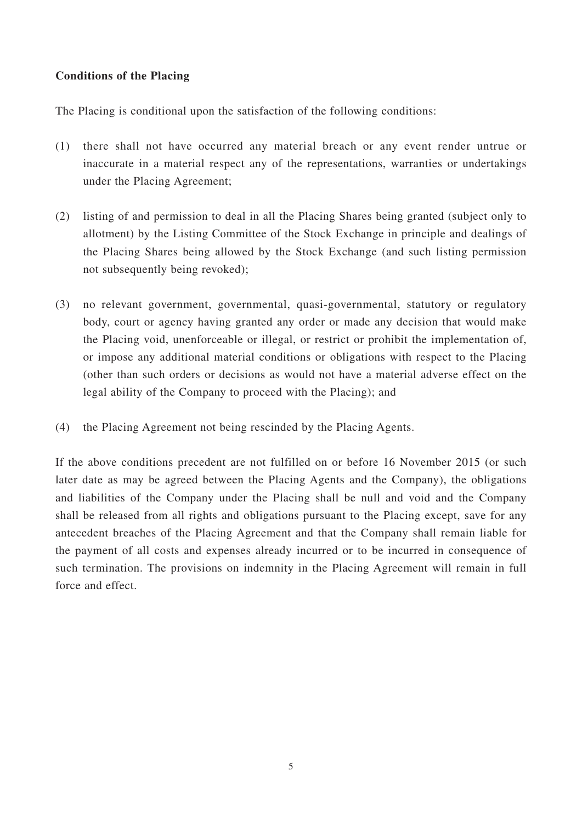#### **Conditions of the Placing**

The Placing is conditional upon the satisfaction of the following conditions:

- (1) there shall not have occurred any material breach or any event render untrue or inaccurate in a material respect any of the representations, warranties or undertakings under the Placing Agreement;
- (2) listing of and permission to deal in all the Placing Shares being granted (subject only to allotment) by the Listing Committee of the Stock Exchange in principle and dealings of the Placing Shares being allowed by the Stock Exchange (and such listing permission not subsequently being revoked);
- (3) no relevant government, governmental, quasi-governmental, statutory or regulatory body, court or agency having granted any order or made any decision that would make the Placing void, unenforceable or illegal, or restrict or prohibit the implementation of, or impose any additional material conditions or obligations with respect to the Placing (other than such orders or decisions as would not have a material adverse effect on the legal ability of the Company to proceed with the Placing); and
- (4) the Placing Agreement not being rescinded by the Placing Agents.

If the above conditions precedent are not fulfilled on or before 16 November 2015 (or such later date as may be agreed between the Placing Agents and the Company), the obligations and liabilities of the Company under the Placing shall be null and void and the Company shall be released from all rights and obligations pursuant to the Placing except, save for any antecedent breaches of the Placing Agreement and that the Company shall remain liable for the payment of all costs and expenses already incurred or to be incurred in consequence of such termination. The provisions on indemnity in the Placing Agreement will remain in full force and effect.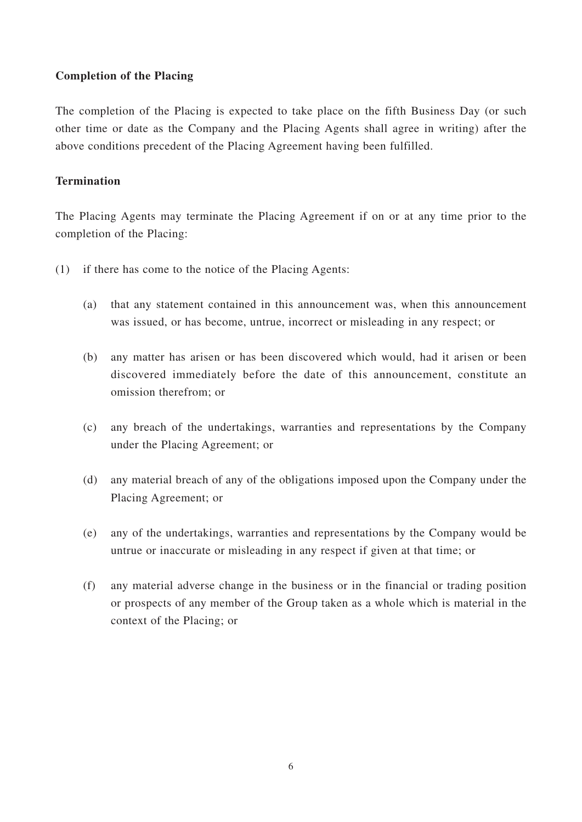#### **Completion of the Placing**

The completion of the Placing is expected to take place on the fifth Business Day (or such other time or date as the Company and the Placing Agents shall agree in writing) after the above conditions precedent of the Placing Agreement having been fulfilled.

#### **Termination**

The Placing Agents may terminate the Placing Agreement if on or at any time prior to the completion of the Placing:

- (1) if there has come to the notice of the Placing Agents:
	- (a) that any statement contained in this announcement was, when this announcement was issued, or has become, untrue, incorrect or misleading in any respect; or
	- (b) any matter has arisen or has been discovered which would, had it arisen or been discovered immediately before the date of this announcement, constitute an omission therefrom; or
	- (c) any breach of the undertakings, warranties and representations by the Company under the Placing Agreement; or
	- (d) any material breach of any of the obligations imposed upon the Company under the Placing Agreement; or
	- (e) any of the undertakings, warranties and representations by the Company would be untrue or inaccurate or misleading in any respect if given at that time; or
	- (f) any material adverse change in the business or in the financial or trading position or prospects of any member of the Group taken as a whole which is material in the context of the Placing; or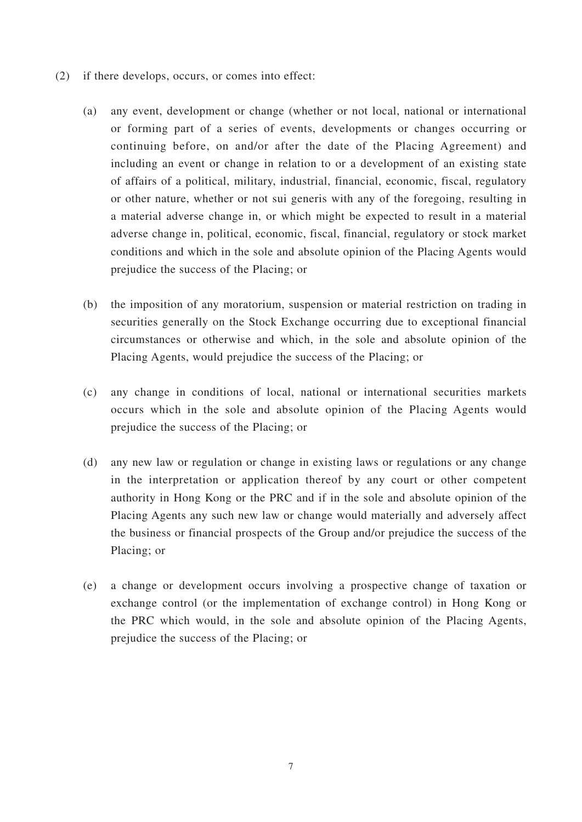- (2) if there develops, occurs, or comes into effect:
	- (a) any event, development or change (whether or not local, national or international or forming part of a series of events, developments or changes occurring or continuing before, on and/or after the date of the Placing Agreement) and including an event or change in relation to or a development of an existing state of affairs of a political, military, industrial, financial, economic, fiscal, regulatory or other nature, whether or not sui generis with any of the foregoing, resulting in a material adverse change in, or which might be expected to result in a material adverse change in, political, economic, fiscal, financial, regulatory or stock market conditions and which in the sole and absolute opinion of the Placing Agents would prejudice the success of the Placing; or
	- (b) the imposition of any moratorium, suspension or material restriction on trading in securities generally on the Stock Exchange occurring due to exceptional financial circumstances or otherwise and which, in the sole and absolute opinion of the Placing Agents, would prejudice the success of the Placing; or
	- (c) any change in conditions of local, national or international securities markets occurs which in the sole and absolute opinion of the Placing Agents would prejudice the success of the Placing; or
	- (d) any new law or regulation or change in existing laws or regulations or any change in the interpretation or application thereof by any court or other competent authority in Hong Kong or the PRC and if in the sole and absolute opinion of the Placing Agents any such new law or change would materially and adversely affect the business or financial prospects of the Group and/or prejudice the success of the Placing; or
	- (e) a change or development occurs involving a prospective change of taxation or exchange control (or the implementation of exchange control) in Hong Kong or the PRC which would, in the sole and absolute opinion of the Placing Agents, prejudice the success of the Placing; or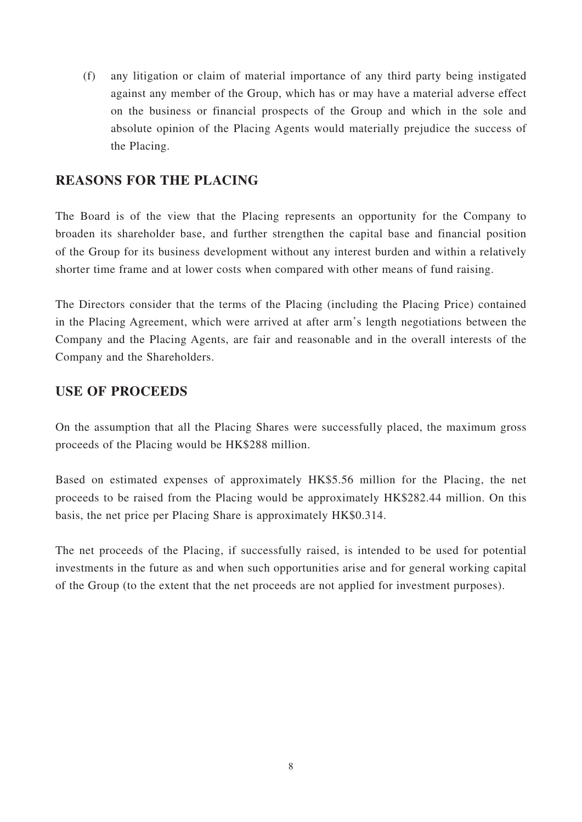(f) any litigation or claim of material importance of any third party being instigated against any member of the Group, which has or may have a material adverse effect on the business or financial prospects of the Group and which in the sole and absolute opinion of the Placing Agents would materially prejudice the success of the Placing.

### **REASONS FOR THE PLACING**

The Board is of the view that the Placing represents an opportunity for the Company to broaden its shareholder base, and further strengthen the capital base and financial position of the Group for its business development without any interest burden and within a relatively shorter time frame and at lower costs when compared with other means of fund raising.

The Directors consider that the terms of the Placing (including the Placing Price) contained in the Placing Agreement, which were arrived at after arm's length negotiations between the Company and the Placing Agents, are fair and reasonable and in the overall interests of the Company and the Shareholders.

### **USE OF PROCEEDS**

On the assumption that all the Placing Shares were successfully placed, the maximum gross proceeds of the Placing would be HK\$288 million.

Based on estimated expenses of approximately HK\$5.56 million for the Placing, the net proceeds to be raised from the Placing would be approximately HK\$282.44 million. On this basis, the net price per Placing Share is approximately HK\$0.314.

The net proceeds of the Placing, if successfully raised, is intended to be used for potential investments in the future as and when such opportunities arise and for general working capital of the Group (to the extent that the net proceeds are not applied for investment purposes).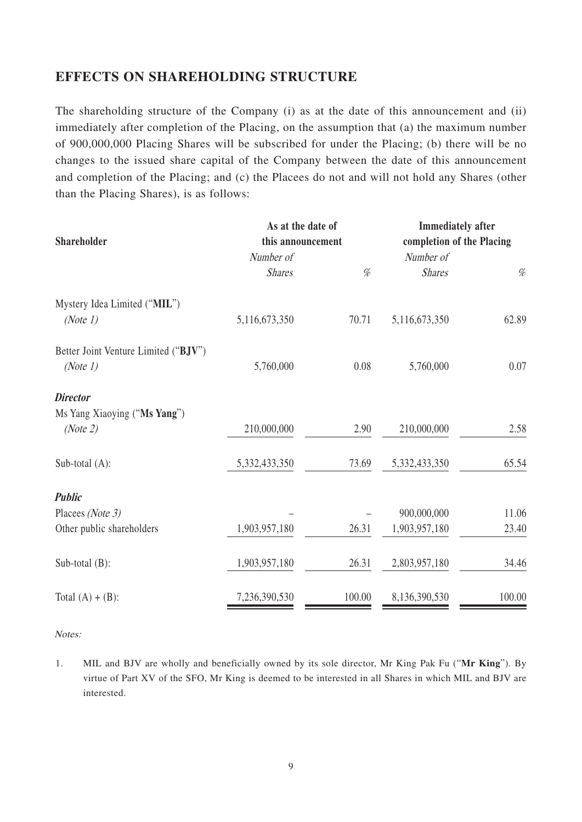### **EFFECTS ON SHAREHOLDING STRUCTURE**

The shareholding structure of the Company (i) as at the date of this announcement and (ii) immediately after completion of the Placing, on the assumption that (a) the maximum number of 900,000,000 Placing Shares will be subscribed for under the Placing; (b) there will be no changes to the issued share capital of the Company between the date of this announcement and completion of the Placing; and (c) the Placees do not and will not hold any Shares (other than the Placing Shares), is as follows:

|                                      | As at the date of<br>this announcement |        | <b>Immediately after</b><br>completion of the Placing |        |
|--------------------------------------|----------------------------------------|--------|-------------------------------------------------------|--------|
| <b>Shareholder</b>                   |                                        |        |                                                       |        |
|                                      | Number of                              |        | Number of                                             |        |
|                                      | <b>Shares</b>                          | $\%$   | <b>Shares</b>                                         | $\%$   |
| Mystery Idea Limited ("MIL")         |                                        |        |                                                       |        |
| (Note 1)                             | 5,116,673,350                          | 70.71  | 5,116,673,350                                         | 62.89  |
| Better Joint Venture Limited ("BJV") |                                        |        |                                                       |        |
| (Note 1)                             | 5,760,000                              | 0.08   | 5,760,000                                             | 0.07   |
| <b>Director</b>                      |                                        |        |                                                       |        |
| Ms Yang Xiaoying ("Ms Yang")         |                                        |        |                                                       |        |
| (Note 2)                             | 210,000,000                            | 2.90   | 210,000,000                                           | 2.58   |
| Sub-total $(A)$ :                    | 5,332,433,350                          | 73.69  | 5,332,433,350                                         | 65.54  |
| <b>Public</b>                        |                                        |        |                                                       |        |
| Placees (Note 3)                     |                                        |        | 900,000,000                                           | 11.06  |
| Other public shareholders            | 1,903,957,180                          | 26.31  | 1,903,957,180                                         | 23.40  |
| Sub-total (B):                       | 1,903,957,180                          | 26.31  | 2,803,957,180                                         | 34.46  |
|                                      |                                        |        |                                                       |        |
| Total $(A) + (B)$ :                  | 7,236,390,530                          | 100.00 | 8,136,390,530                                         | 100.00 |

Notes:

1. MIL and BJV are wholly and beneficially owned by its sole director, Mr King Pak Fu ("**Mr King**"). By virtue of Part XV of the SFO, Mr King is deemed to be interested in all Shares in which MIL and BJV are interested.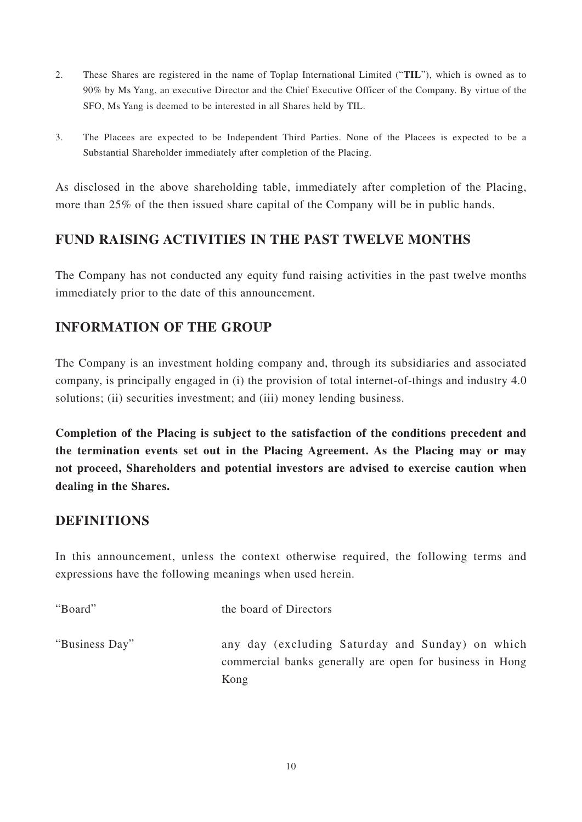- 2. These Shares are registered in the name of Toplap International Limited ("**TIL**"), which is owned as to 90% by Ms Yang, an executive Director and the Chief Executive Officer of the Company. By virtue of the SFO, Ms Yang is deemed to be interested in all Shares held by TIL.
- 3. The Placees are expected to be Independent Third Parties. None of the Placees is expected to be a Substantial Shareholder immediately after completion of the Placing.

As disclosed in the above shareholding table, immediately after completion of the Placing, more than 25% of the then issued share capital of the Company will be in public hands.

## **FUND RAISING ACTIVITIES IN THE PAST TWELVE MONTHS**

The Company has not conducted any equity fund raising activities in the past twelve months immediately prior to the date of this announcement.

## **INFORMATION OF THE GROUP**

The Company is an investment holding company and, through its subsidiaries and associated company, is principally engaged in (i) the provision of total internet-of-things and industry 4.0 solutions; (ii) securities investment; and (iii) money lending business.

**Completion of the Placing is subject to the satisfaction of the conditions precedent and the termination events set out in the Placing Agreement. As the Placing may or may not proceed, Shareholders and potential investors are advised to exercise caution when dealing in the Shares.**

## **DEFINITIONS**

In this announcement, unless the context otherwise required, the following terms and expressions have the following meanings when used herein.

| "Board"        | the board of Directors                                                                                       |
|----------------|--------------------------------------------------------------------------------------------------------------|
| "Business Day" | any day (excluding Saturday and Sunday) on which<br>commercial banks generally are open for business in Hong |
|                | Kong                                                                                                         |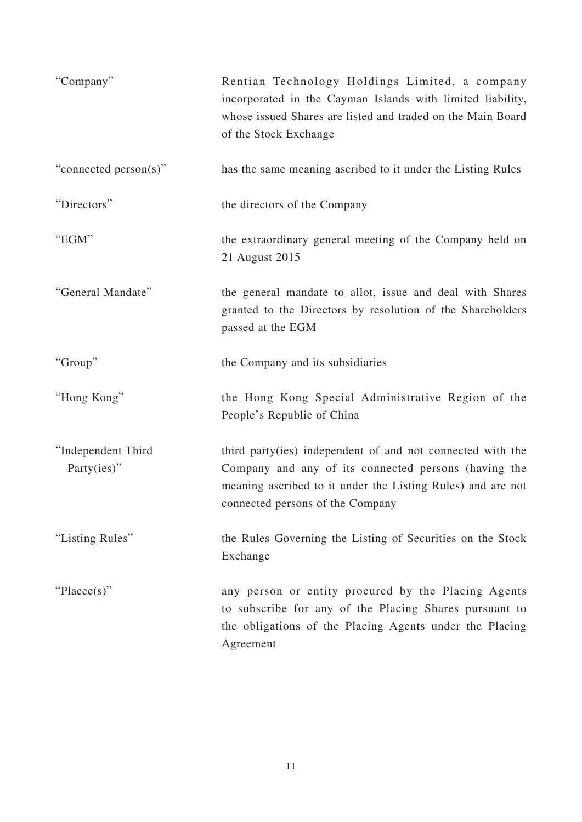| "Company"                         | Rentian Technology Holdings Limited, a company<br>incorporated in the Cayman Islands with limited liability,<br>whose issued Shares are listed and traded on the Main Board<br>of the Stock Exchange                  |
|-----------------------------------|-----------------------------------------------------------------------------------------------------------------------------------------------------------------------------------------------------------------------|
| "connected person(s)"             | has the same meaning ascribed to it under the Listing Rules                                                                                                                                                           |
| "Directors"                       | the directors of the Company                                                                                                                                                                                          |
| "EGM"                             | the extraordinary general meeting of the Company held on<br>21 August 2015                                                                                                                                            |
| "General Mandate"                 | the general mandate to allot, issue and deal with Shares<br>granted to the Directors by resolution of the Shareholders<br>passed at the EGM                                                                           |
| "Group"                           | the Company and its subsidiaries                                                                                                                                                                                      |
| "Hong Kong"                       | the Hong Kong Special Administrative Region of the<br>People's Republic of China                                                                                                                                      |
| "Independent Third<br>Party(ies)" | third party(ies) independent of and not connected with the<br>Company and any of its connected persons (having the<br>meaning ascribed to it under the Listing Rules) and are not<br>connected persons of the Company |
| "Listing Rules"                   | the Rules Governing the Listing of Securities on the Stock<br>Exchange                                                                                                                                                |
| "Placee(s)"                       | any person or entity procured by the Placing Agents<br>to subscribe for any of the Placing Shares pursuant to<br>the obligations of the Placing Agents under the Placing<br>Agreement                                 |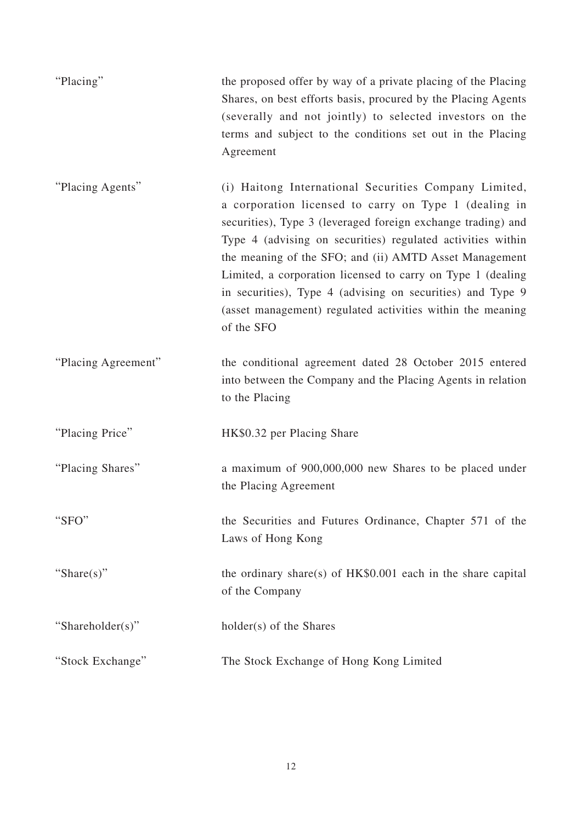| "Placing"           | the proposed offer by way of a private placing of the Placing<br>Shares, on best efforts basis, procured by the Placing Agents<br>(severally and not jointly) to selected investors on the<br>terms and subject to the conditions set out in the Placing<br>Agreement                                                                                                                                                                                                                                            |
|---------------------|------------------------------------------------------------------------------------------------------------------------------------------------------------------------------------------------------------------------------------------------------------------------------------------------------------------------------------------------------------------------------------------------------------------------------------------------------------------------------------------------------------------|
| "Placing Agents"    | (i) Haitong International Securities Company Limited,<br>a corporation licensed to carry on Type 1 (dealing in<br>securities), Type 3 (leveraged foreign exchange trading) and<br>Type 4 (advising on securities) regulated activities within<br>the meaning of the SFO; and (ii) AMTD Asset Management<br>Limited, a corporation licensed to carry on Type 1 (dealing<br>in securities), Type 4 (advising on securities) and Type 9<br>(asset management) regulated activities within the meaning<br>of the SFO |
| "Placing Agreement" | the conditional agreement dated 28 October 2015 entered<br>into between the Company and the Placing Agents in relation<br>to the Placing                                                                                                                                                                                                                                                                                                                                                                         |
| "Placing Price"     | HK\$0.32 per Placing Share                                                                                                                                                                                                                                                                                                                                                                                                                                                                                       |
| "Placing Shares"    | a maximum of 900,000,000 new Shares to be placed under<br>the Placing Agreement                                                                                                                                                                                                                                                                                                                                                                                                                                  |
| "SFO"               | the Securities and Futures Ordinance, Chapter 571 of the<br>Laws of Hong Kong                                                                                                                                                                                                                                                                                                                                                                                                                                    |
| "Share(s)"          | the ordinary share(s) of $HK$0.001$ each in the share capital<br>of the Company                                                                                                                                                                                                                                                                                                                                                                                                                                  |
| "Shareholder(s)"    | holder(s) of the Shares                                                                                                                                                                                                                                                                                                                                                                                                                                                                                          |
| "Stock Exchange"    | The Stock Exchange of Hong Kong Limited                                                                                                                                                                                                                                                                                                                                                                                                                                                                          |